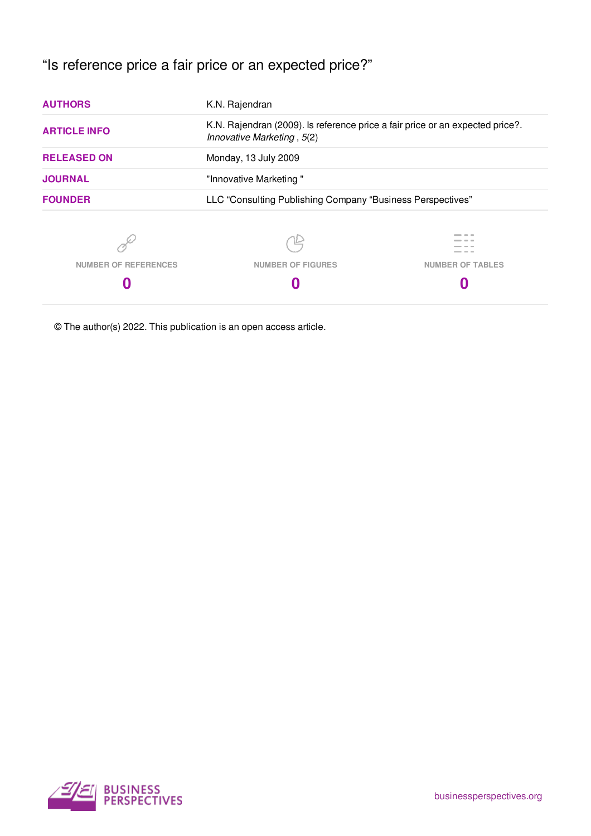# "Is reference price a fair price or an expected price?"

| <b>AUTHORS</b>              | K.N. Rajendran                                                                                              |  |  |  |
|-----------------------------|-------------------------------------------------------------------------------------------------------------|--|--|--|
| <b>ARTICLE INFO</b>         | K.N. Rajendran (2009). Is reference price a fair price or an expected price?.<br>Innovative Marketing, 5(2) |  |  |  |
| <b>RELEASED ON</b>          | Monday, 13 July 2009                                                                                        |  |  |  |
| <b>JOURNAL</b>              | "Innovative Marketing"                                                                                      |  |  |  |
| <b>FOUNDER</b>              | LLC "Consulting Publishing Company "Business Perspectives"                                                  |  |  |  |
|                             |                                                                                                             |  |  |  |
| <b>NUMBER OF REFERENCES</b> | <b>NUMBER OF FIGURES</b><br><b>NUMBER OF TABLES</b>                                                         |  |  |  |
| 0                           |                                                                                                             |  |  |  |
|                             |                                                                                                             |  |  |  |

© The author(s) 2022. This publication is an open access article.

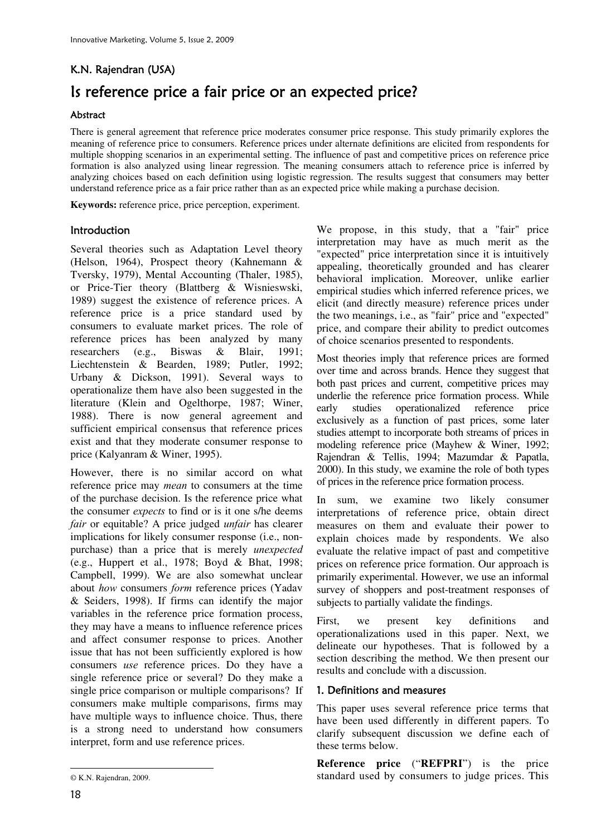# K.N. Rajendran (USA) Is reference price a fair price or an expected price?

## Abstract

There is general agreement that reference price moderates consumer price response. This study primarily explores the meaning of reference price to consumers. Reference prices under alternate definitions are elicited from respondents for multiple shopping scenarios in an experimental setting. The influence of past and competitive prices on reference price formation is also analyzed using linear regression. The meaning consumers attach to reference price is inferred by analyzing choices based on each definition using logistic regression. The results suggest that consumers may better understand reference price as a fair price rather than as an expected price while making a purchase decision.

**Keywords:** reference price, price perception, experiment.

# **Introduction**

Several theories such as Adaptation Level theory (Helson, 1964), Prospect theory (Kahnemann & Tversky, 1979), Mental Accounting (Thaler, 1985), or Price-Tier theory (Blattberg & Wisnieswski, 1989) suggest the existence of reference prices. A reference price is a price standard used by consumers to evaluate market prices. The role of reference prices has been analyzed by many researchers (e.g., Biswas & Blair, 1991; Liechtenstein & Bearden, 1989; Putler, 1992; Urbany & Dickson, 1991). Several ways to operationalize them have also been suggested in the literature (Klein and Ogelthorpe, 1987; Winer, 1988). There is now general agreement and sufficient empirical consensus that reference prices exist and that they moderate consumer response to price (Kalyanram & Winer, 1995).

However, there is no similar accord on what reference price may *mean* to consumers at the time of the purchase decision. Is the reference price what the consumer *expects* to find or is it one s/he deems *fair* or equitable? A price judged *unfair* has clearer implications for likely consumer response (i.e., nonpurchase) than a price that is merely *unexpected* (e.g., Huppert et al., 1978; Boyd & Bhat, 1998; Campbell, 1999). We are also somewhat unclear about *how* consumers *form* reference prices (Yadav & Seiders, 1998). If firms can identify the major variables in the reference price formation process, they may have a means to influence reference prices and affect consumer response to prices. Another issue that has not been sufficiently explored is how consumers *use* reference prices. Do they have a single reference price or several? Do they make a single price comparison or multiple comparisons? If consumers make multiple comparisons, firms may have multiple ways to influence choice. Thus, there is a strong need to understand how consumers interpret, form and use reference prices.

We propose, in this study, that a "fair" price interpretation may have as much merit as the "expected" price interpretation since it is intuitively appealing, theoretically grounded and has clearer behavioral implication. Moreover, unlike earlier empirical studies which inferred reference prices, we elicit (and directly measure) reference prices under the two meanings, i.e., as "fair" price and "expected" price, and compare their ability to predict outcomes of choice scenarios presented to respondents.

Most theories imply that reference prices are formed over time and across brands. Hence they suggest that both past prices and current, competitive prices may underlie the reference price formation process. While early studies operationalized reference price exclusively as a function of past prices, some later studies attempt to incorporate both streams of prices in modeling reference price (Mayhew & Winer, 1992; Rajendran & Tellis, 1994; Mazumdar & Papatla, 2000). In this study, we examine the role of both types of prices in the reference price formation process.

In sum, we examine two likely consumer interpretations of reference price, obtain direct measures on them and evaluate their power to explain choices made by respondents. We also evaluate the relative impact of past and competitive prices on reference price formation. Our approach is primarily experimental. However, we use an informal survey of shoppers and post-treatment responses of subjects to partially validate the findings.

First, we present key definitions and operationalizations used in this paper. Next, we delineate our hypotheses. That is followed by a section describing the method. We then present our results and conclude with a discussion.

#### 1. Definitions and measures

This paper uses several reference price terms that have been used differently in different papers. To clarify subsequent discussion we define each of these terms below.

**Reference price** ("**REFPRI**") is the price standard used by consumers to judge prices. This

 $\overline{a}$ © K.N. Rajendran, 2009.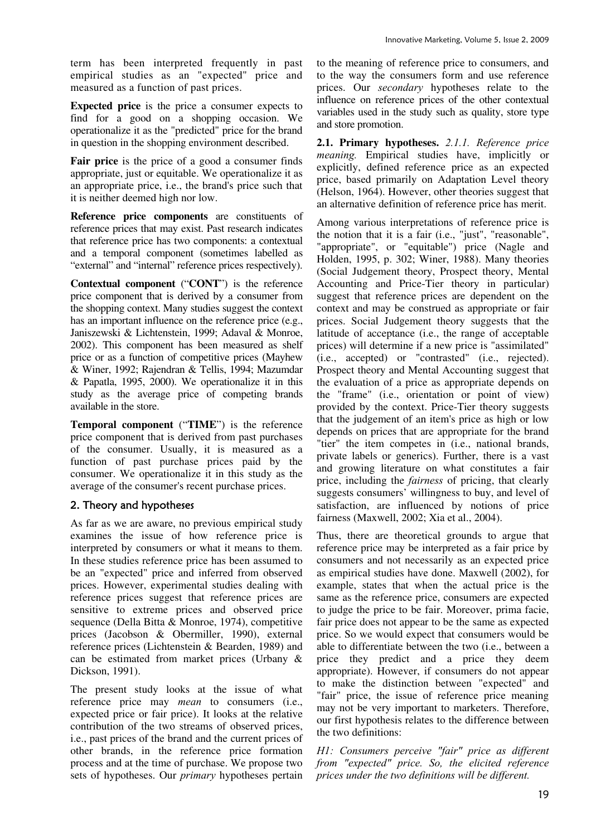term has been interpreted frequently in past empirical studies as an "expected" price and measured as a function of past prices.

**Expected price** is the price a consumer expects to find for a good on a shopping occasion. We operationalize it as the "predicted" price for the brand in question in the shopping environment described.

**Fair price** is the price of a good a consumer finds appropriate, just or equitable. We operationalize it as an appropriate price, i.e., the brand's price such that it is neither deemed high nor low.

**Reference price components** are constituents of reference prices that may exist. Past research indicates that reference price has two components: a contextual and a temporal component (sometimes labelled as "external" and "internal" reference prices respectively).

**Contextual component** ("**CONT**") is the reference price component that is derived by a consumer from the shopping context. Many studies suggest the context has an important influence on the reference price (e.g., Janiszewski & Lichtenstein, 1999; Adaval & Monroe, 2002). This component has been measured as shelf price or as a function of competitive prices (Mayhew & Winer, 1992; Rajendran & Tellis, 1994; Mazumdar & Papatla, 1995, 2000). We operationalize it in this study as the average price of competing brands available in the store.

**Temporal component** ("**TIME**") is the reference price component that is derived from past purchases of the consumer. Usually, it is measured as a function of past purchase prices paid by the consumer. We operationalize it in this study as the average of the consumer's recent purchase prices.

# 2. Theory and hypotheses

As far as we are aware, no previous empirical study examines the issue of how reference price is interpreted by consumers or what it means to them. In these studies reference price has been assumed to be an "expected" price and inferred from observed prices. However, experimental studies dealing with reference prices suggest that reference prices are sensitive to extreme prices and observed price sequence (Della Bitta & Monroe, 1974), competitive prices (Jacobson & Obermiller, 1990), external reference prices (Lichtenstein & Bearden, 1989) and can be estimated from market prices (Urbany & Dickson, 1991).

The present study looks at the issue of what reference price may *mean* to consumers (i.e., expected price or fair price). It looks at the relative contribution of the two streams of observed prices, i.e., past prices of the brand and the current prices of other brands, in the reference price formation process and at the time of purchase. We propose two sets of hypotheses. Our *primary* hypotheses pertain

to the meaning of reference price to consumers, and to the way the consumers form and use reference prices. Our *secondary* hypotheses relate to the influence on reference prices of the other contextual variables used in the study such as quality, store type and store promotion.

**2.1. Primary hypotheses.** *2.1.1. Reference price meaning.* Empirical studies have, implicitly or explicitly, defined reference price as an expected price, based primarily on Adaptation Level theory (Helson, 1964). However, other theories suggest that an alternative definition of reference price has merit.

Among various interpretations of reference price is the notion that it is a fair (i.e., "just", "reasonable", "appropriate", or "equitable") price (Nagle and Holden, 1995, p. 302; Winer, 1988). Many theories (Social Judgement theory, Prospect theory, Mental Accounting and Price-Tier theory in particular) suggest that reference prices are dependent on the context and may be construed as appropriate or fair prices. Social Judgement theory suggests that the latitude of acceptance (i.e., the range of acceptable prices) will determine if a new price is "assimilated" (i.e., accepted) or "contrasted" (i.e., rejected). Prospect theory and Mental Accounting suggest that the evaluation of a price as appropriate depends on the "frame" (i.e., orientation or point of view) provided by the context. Price-Tier theory suggests that the judgement of an item's price as high or low depends on prices that are appropriate for the brand "tier" the item competes in (i.e., national brands, private labels or generics). Further, there is a vast and growing literature on what constitutes a fair price, including the *fairness* of pricing, that clearly suggests consumers' willingness to buy, and level of satisfaction, are influenced by notions of price fairness (Maxwell, 2002; Xia et al., 2004).

Thus, there are theoretical grounds to argue that reference price may be interpreted as a fair price by consumers and not necessarily as an expected price as empirical studies have done. Maxwell (2002), for example, states that when the actual price is the same as the reference price, consumers are expected to judge the price to be fair. Moreover, prima facie, fair price does not appear to be the same as expected price. So we would expect that consumers would be able to differentiate between the two (i.e., between a price they predict and a price they deem appropriate). However, if consumers do not appear to make the distinction between "expected" and "fair" price, the issue of reference price meaning may not be very important to marketers. Therefore, our first hypothesis relates to the difference between the two definitions:

*H1: Consumers perceive "fair" price as different from "expected" price. So, the elicited reference prices under the two definitions will be different.*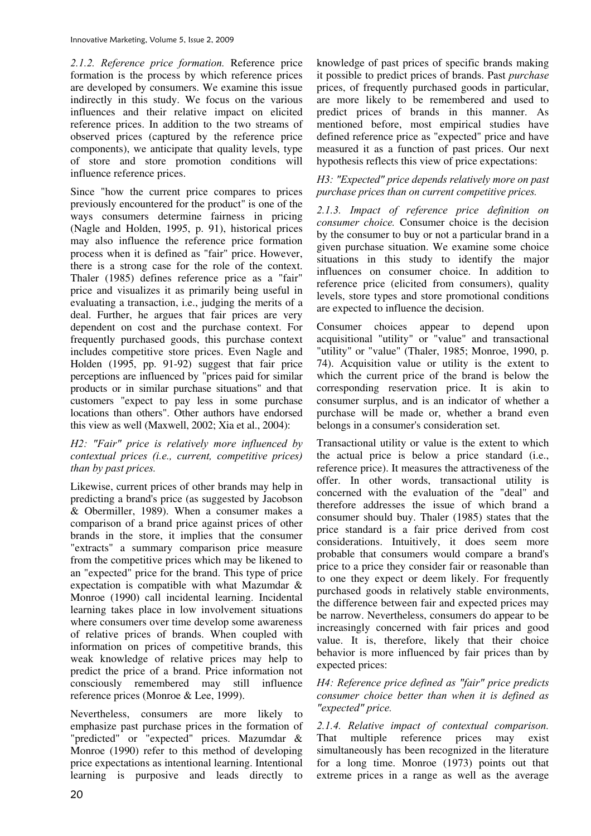*2.1.2. Reference price formation.* Reference price formation is the process by which reference prices are developed by consumers. We examine this issue indirectly in this study. We focus on the various influences and their relative impact on elicited reference prices. In addition to the two streams of observed prices (captured by the reference price components), we anticipate that quality levels, type of store and store promotion conditions will influence reference prices.

Since "how the current price compares to prices previously encountered for the product" is one of the ways consumers determine fairness in pricing (Nagle and Holden, 1995, p. 91), historical prices may also influence the reference price formation process when it is defined as "fair" price. However, there is a strong case for the role of the context. Thaler (1985) defines reference price as a "fair" price and visualizes it as primarily being useful in evaluating a transaction, i.e., judging the merits of a deal. Further, he argues that fair prices are very dependent on cost and the purchase context. For frequently purchased goods, this purchase context includes competitive store prices. Even Nagle and Holden (1995, pp. 91-92) suggest that fair price perceptions are influenced by "prices paid for similar products or in similar purchase situations" and that customers "expect to pay less in some purchase locations than others". Other authors have endorsed this view as well (Maxwell, 2002; Xia et al., 2004):

#### *H2: "Fair" price is relatively more influenced by contextual prices (i.e., current, competitive prices) than by past prices.*

Likewise, current prices of other brands may help in predicting a brand's price (as suggested by Jacobson & Obermiller, 1989). When a consumer makes a comparison of a brand price against prices of other brands in the store, it implies that the consumer "extracts" a summary comparison price measure from the competitive prices which may be likened to an "expected" price for the brand. This type of price expectation is compatible with what Mazumdar & Monroe (1990) call incidental learning. Incidental learning takes place in low involvement situations where consumers over time develop some awareness of relative prices of brands. When coupled with information on prices of competitive brands, this weak knowledge of relative prices may help to predict the price of a brand. Price information not consciously remembered may still influence reference prices (Monroe & Lee, 1999).

Nevertheless, consumers are more likely to emphasize past purchase prices in the formation of "predicted" or "expected" prices. Mazumdar & Monroe (1990) refer to this method of developing price expectations as intentional learning. Intentional learning is purposive and leads directly to

knowledge of past prices of specific brands making it possible to predict prices of brands. Past *purchase* prices, of frequently purchased goods in particular, are more likely to be remembered and used to predict prices of brands in this manner. As mentioned before, most empirical studies have defined reference price as "expected" price and have measured it as a function of past prices. Our next hypothesis reflects this view of price expectations:

### *H3: "Expected" price depends relatively more on past purchase prices than on current competitive prices.*

*2.1.3. Impact of reference price definition on consumer choice.* Consumer choice is the decision by the consumer to buy or not a particular brand in a given purchase situation. We examine some choice situations in this study to identify the major influences on consumer choice. In addition to reference price (elicited from consumers), quality levels, store types and store promotional conditions are expected to influence the decision.

Consumer choices appear to depend upon acquisitional "utility" or "value" and transactional "utility" or "value" (Thaler, 1985; Monroe, 1990, p. 74). Acquisition value or utility is the extent to which the current price of the brand is below the corresponding reservation price. It is akin to consumer surplus, and is an indicator of whether a purchase will be made or, whether a brand even belongs in a consumer's consideration set.

Transactional utility or value is the extent to which the actual price is below a price standard (i.e., reference price). It measures the attractiveness of the offer. In other words, transactional utility is concerned with the evaluation of the "deal" and therefore addresses the issue of which brand a consumer should buy. Thaler (1985) states that the price standard is a fair price derived from cost considerations. Intuitively, it does seem more probable that consumers would compare a brand's price to a price they consider fair or reasonable than to one they expect or deem likely. For frequently purchased goods in relatively stable environments, the difference between fair and expected prices may be narrow. Nevertheless, consumers do appear to be increasingly concerned with fair prices and good value. It is, therefore, likely that their choice behavior is more influenced by fair prices than by expected prices:

#### *H4: Reference price defined as "fair" price predicts consumer choice better than when it is defined as "expected" price.*

*2.1.4. Relative impact of contextual comparison.*  That multiple reference prices may exist simultaneously has been recognized in the literature for a long time. Monroe (1973) points out that extreme prices in a range as well as the average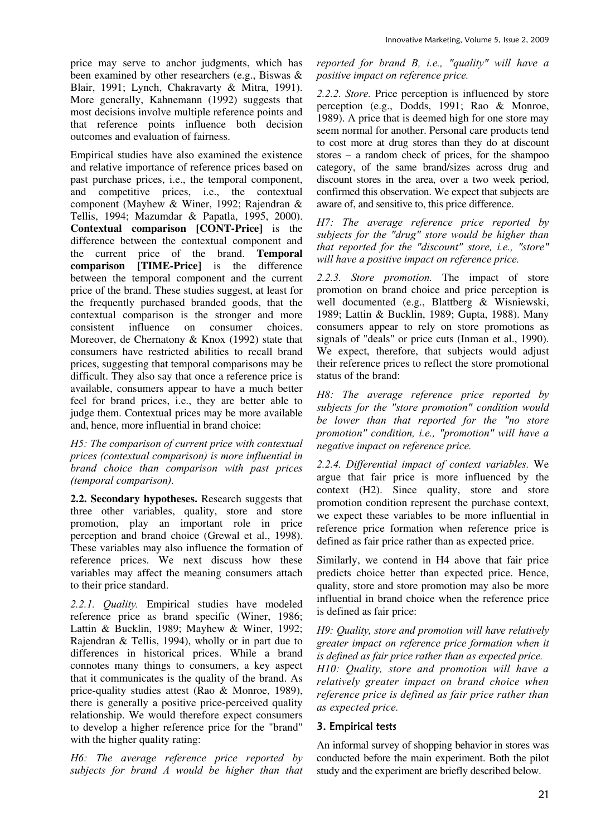price may serve to anchor judgments, which has been examined by other researchers (e.g., Biswas & Blair, 1991; Lynch, Chakravarty & Mitra, 1991). More generally, Kahnemann (1992) suggests that most decisions involve multiple reference points and that reference points influence both decision outcomes and evaluation of fairness.

Empirical studies have also examined the existence and relative importance of reference prices based on past purchase prices, i.e., the temporal component, and competitive prices, i.e., the contextual component (Mayhew & Winer, 1992; Rajendran & Tellis, 1994; Mazumdar & Papatla, 1995, 2000). **Contextual comparison [CONT-Price]** is the difference between the contextual component and the current price of the brand. **Temporal comparison [TIME-Price]** is the difference between the temporal component and the current price of the brand. These studies suggest, at least for the frequently purchased branded goods, that the contextual comparison is the stronger and more consistent influence on consumer choices. Moreover, de Chernatony & Knox (1992) state that consumers have restricted abilities to recall brand prices, suggesting that temporal comparisons may be difficult. They also say that once a reference price is available, consumers appear to have a much better feel for brand prices, i.e., they are better able to judge them. Contextual prices may be more available and, hence, more influential in brand choice:

*H5: The comparison of current price with contextual prices (contextual comparison) is more influential in brand choice than comparison with past prices (temporal comparison).* 

**2.2. Secondary hypotheses.** Research suggests that three other variables, quality, store and store promotion, play an important role in price perception and brand choice (Grewal et al., 1998). These variables may also influence the formation of reference prices. We next discuss how these variables may affect the meaning consumers attach to their price standard.

*2.2.1. Quality.* Empirical studies have modeled reference price as brand specific (Winer, 1986; Lattin & Bucklin, 1989; Mayhew & Winer, 1992; Rajendran & Tellis, 1994), wholly or in part due to differences in historical prices. While a brand connotes many things to consumers, a key aspect that it communicates is the quality of the brand. As price-quality studies attest (Rao & Monroe, 1989), there is generally a positive price-perceived quality relationship. We would therefore expect consumers to develop a higher reference price for the "brand" with the higher quality rating:

*H6: The average reference price reported by subjects for brand A would be higher than that* 

*reported for brand B, i.e., "quality" will have a positive impact on reference price.* 

*2.2.2. Store.* Price perception is influenced by store perception (e.g., Dodds, 1991; Rao & Monroe, 1989). A price that is deemed high for one store may seem normal for another. Personal care products tend to cost more at drug stores than they do at discount stores – a random check of prices, for the shampoo category, of the same brand/sizes across drug and discount stores in the area, over a two week period, confirmed this observation. We expect that subjects are aware of, and sensitive to, this price difference.

*H7: The average reference price reported by subjects for the "drug" store would be higher than that reported for the "discount" store, i.e., "store" will have a positive impact on reference price.* 

*2.2.3. Store promotion.* The impact of store promotion on brand choice and price perception is well documented (e.g., Blattberg & Wisniewski, 1989; Lattin & Bucklin, 1989; Gupta, 1988). Many consumers appear to rely on store promotions as signals of "deals" or price cuts (Inman et al., 1990). We expect, therefore, that subjects would adjust their reference prices to reflect the store promotional status of the brand:

*H8: The average reference price reported by subjects for the "store promotion" condition would be lower than that reported for the "no store promotion" condition, i.e., "promotion" will have a negative impact on reference price.* 

*2.2.4. Differential impact of context variables.* We argue that fair price is more influenced by the context (H2). Since quality, store and store promotion condition represent the purchase context, we expect these variables to be more influential in reference price formation when reference price is defined as fair price rather than as expected price.

Similarly, we contend in H4 above that fair price predicts choice better than expected price. Hence, quality, store and store promotion may also be more influential in brand choice when the reference price is defined as fair price:

*H9: Quality, store and promotion will have relatively greater impact on reference price formation when it is defined as fair price rather than as expected price. H10: Quality, store and promotion will have a relatively greater impact on brand choice when reference price is defined as fair price rather than as expected price.* 

# 3. Empirical tests

An informal survey of shopping behavior in stores was conducted before the main experiment. Both the pilot study and the experiment are briefly described below.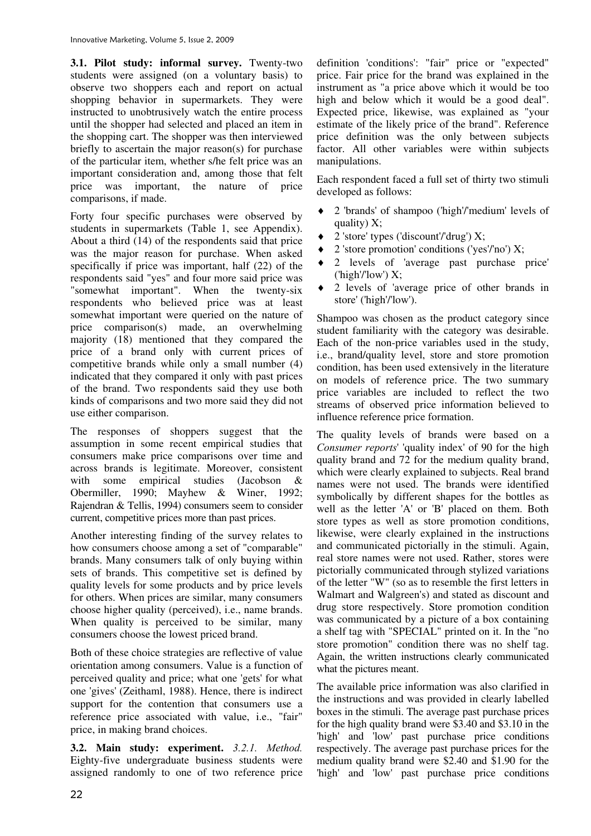**3.1. Pilot study: informal survey.** Twenty-two students were assigned (on a voluntary basis) to observe two shoppers each and report on actual shopping behavior in supermarkets. They were instructed to unobtrusively watch the entire process until the shopper had selected and placed an item in the shopping cart. The shopper was then interviewed briefly to ascertain the major reason(s) for purchase of the particular item, whether s/he felt price was an important consideration and, among those that felt price was important, the nature of price comparisons, if made.

Forty four specific purchases were observed by students in supermarkets (Table 1, see Appendix). About a third (14) of the respondents said that price was the major reason for purchase. When asked specifically if price was important, half (22) of the respondents said "yes" and four more said price was "somewhat important". When the twenty-six respondents who believed price was at least somewhat important were queried on the nature of price comparison(s) made, an overwhelming majority (18) mentioned that they compared the price of a brand only with current prices of competitive brands while only a small number (4) indicated that they compared it only with past prices of the brand. Two respondents said they use both kinds of comparisons and two more said they did not use either comparison.

The responses of shoppers suggest that the assumption in some recent empirical studies that consumers make price comparisons over time and across brands is legitimate. Moreover, consistent with some empirical studies (Jacobson & Obermiller, 1990; Mayhew & Winer, 1992; Rajendran & Tellis, 1994) consumers seem to consider current, competitive prices more than past prices.

Another interesting finding of the survey relates to how consumers choose among a set of "comparable" brands. Many consumers talk of only buying within sets of brands. This competitive set is defined by quality levels for some products and by price levels for others. When prices are similar, many consumers choose higher quality (perceived), i.e., name brands. When quality is perceived to be similar, many consumers choose the lowest priced brand.

Both of these choice strategies are reflective of value orientation among consumers. Value is a function of perceived quality and price; what one 'gets' for what one 'gives' (Zeithaml, 1988). Hence, there is indirect support for the contention that consumers use a reference price associated with value, i.e., "fair" price, in making brand choices.

**3.2. Main study: experiment.** *3.2.1. Method.* Eighty-five undergraduate business students were assigned randomly to one of two reference price

definition 'conditions': "fair" price or "expected" price. Fair price for the brand was explained in the instrument as "a price above which it would be too high and below which it would be a good deal". Expected price, likewise, was explained as "your estimate of the likely price of the brand". Reference price definition was the only between subjects factor. All other variables were within subjects manipulations.

Each respondent faced a full set of thirty two stimuli developed as follows:

- 2 'brands' of shampoo ('high'/'medium' levels of quality) X;
- 2 'store' types ('discount'/'drug')  $X$ ;
- $\triangleq$  2 'store promotion' conditions ('yes'/'no') X;
- ♦ 2 levels of 'average past purchase price' ('high'/'low')  $X$ ;
- ♦ 2 levels of 'average price of other brands in store' ('high'/'low').

Shampoo was chosen as the product category since student familiarity with the category was desirable. Each of the non-price variables used in the study, i.e., brand/quality level, store and store promotion condition, has been used extensively in the literature on models of reference price. The two summary price variables are included to reflect the two streams of observed price information believed to influence reference price formation.

The quality levels of brands were based on a *Consumer reports*' 'quality index' of 90 for the high quality brand and 72 for the medium quality brand, which were clearly explained to subjects. Real brand names were not used. The brands were identified symbolically by different shapes for the bottles as well as the letter 'A' or 'B' placed on them. Both store types as well as store promotion conditions, likewise, were clearly explained in the instructions and communicated pictorially in the stimuli. Again, real store names were not used. Rather, stores were pictorially communicated through stylized variations of the letter "W" (so as to resemble the first letters in Walmart and Walgreen's) and stated as discount and drug store respectively. Store promotion condition was communicated by a picture of a box containing a shelf tag with "SPECIAL" printed on it. In the "no store promotion" condition there was no shelf tag. Again, the written instructions clearly communicated what the pictures meant.

The available price information was also clarified in the instructions and was provided in clearly labelled boxes in the stimuli. The average past purchase prices for the high quality brand were \$3.40 and \$3.10 in the 'high' and 'low' past purchase price conditions respectively. The average past purchase prices for the medium quality brand were \$2.40 and \$1.90 for the 'high' and 'low' past purchase price conditions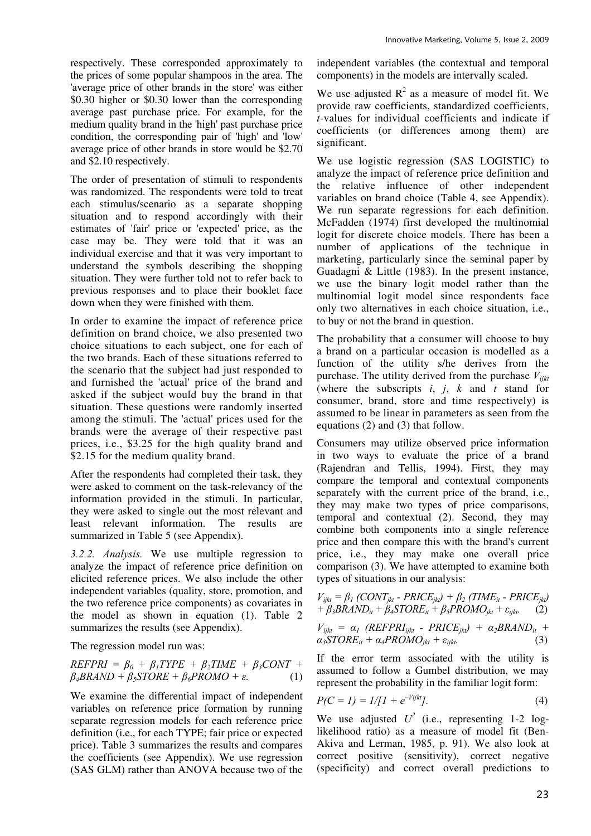respectively. These corresponded approximately to the prices of some popular shampoos in the area. The 'average price of other brands in the store' was either \$0.30 higher or \$0.30 lower than the corresponding average past purchase price. For example, for the medium quality brand in the 'high' past purchase price condition, the corresponding pair of 'high' and 'low' average price of other brands in store would be \$2.70 and \$2.10 respectively.

The order of presentation of stimuli to respondents was randomized. The respondents were told to treat each stimulus/scenario as a separate shopping situation and to respond accordingly with their estimates of 'fair' price or 'expected' price, as the case may be. They were told that it was an individual exercise and that it was very important to understand the symbols describing the shopping situation. They were further told not to refer back to previous responses and to place their booklet face down when they were finished with them.

In order to examine the impact of reference price definition on brand choice, we also presented two choice situations to each subject, one for each of the two brands. Each of these situations referred to the scenario that the subject had just responded to and furnished the 'actual' price of the brand and asked if the subject would buy the brand in that situation. These questions were randomly inserted among the stimuli. The 'actual' prices used for the brands were the average of their respective past prices, i.e., \$3.25 for the high quality brand and \$2.15 for the medium quality brand.

After the respondents had completed their task, they were asked to comment on the task-relevancy of the information provided in the stimuli. In particular, they were asked to single out the most relevant and least relevant information. The results are summarized in Table 5 (see Appendix).

*3.2.2. Analysis.* We use multiple regression to analyze the impact of reference price definition on elicited reference prices. We also include the other independent variables (quality, store, promotion, and the two reference price components) as covariates in the model as shown in equation (1). Table 2 summarizes the results (see Appendix).

The regression model run was:

$$
REFPRI = \beta_0 + \beta_1 TYPE + \beta_2 TIME + \beta_3 CONT + \beta_4 BRAND + \beta_5 STOPE + \beta_6 PROMO + \varepsilon.
$$
 (1)

We examine the differential impact of independent variables on reference price formation by running separate regression models for each reference price definition (i.e., for each TYPE; fair price or expected price). Table 3 summarizes the results and compares the coefficients (see Appendix). We use regression (SAS GLM) rather than ANOVA because two of the

independent variables (the contextual and temporal components) in the models are intervally scaled.

We use adjusted  $R^2$  as a measure of model fit. We provide raw coefficients, standardized coefficients, *t*-values for individual coefficients and indicate if coefficients (or differences among them) are significant.

We use logistic regression (SAS LOGISTIC) to analyze the impact of reference price definition and the relative influence of other independent variables on brand choice (Table 4, see Appendix). We run separate regressions for each definition. McFadden (1974) first developed the multinomial logit for discrete choice models. There has been a number of applications of the technique in marketing, particularly since the seminal paper by Guadagni & Little (1983). In the present instance, we use the binary logit model rather than the multinomial logit model since respondents face only two alternatives in each choice situation, i.e., to buy or not the brand in question.

The probability that a consumer will choose to buy a brand on a particular occasion is modelled as a function of the utility s/he derives from the purchase. The utility derived from the purchase *Vijkt* (where the subscripts  $i$ ,  $j$ ,  $k$  and  $t$  stand for consumer, brand, store and time respectively) is assumed to be linear in parameters as seen from the equations (2) and (3) that follow.

Consumers may utilize observed price information in two ways to evaluate the price of a brand (Rajendran and Tellis, 1994). First, they may compare the temporal and contextual components separately with the current price of the brand, i.e., they may make two types of price comparisons, temporal and contextual (2). Second, they may combine both components into a single reference price and then compare this with the brand's current price, i.e., they may make one overall price comparison (3). We have attempted to examine both types of situations in our analysis:

$$
V_{ijkl} = \beta_l (CONT_{jkt} - PRICE_{jkt}) + \beta_2 (TIME_{it} - PRICE_{jkt}) + \beta_3 BRAND_{it} + \beta_4 STORE_{it} + \beta_3 PROMO_{jkt} + \varepsilon_{ijkt}.
$$
 (2)

$$
V_{ijkl} = \alpha_l \ (REFPRI_{ijkt} - PRICE_{jkt}) + \alpha_2 BRAND_{it} + \alpha_3 STORE_{it} + \alpha_4 PROMO_{jkt} + \varepsilon_{ijkt}.
$$
 (3)

If the error term associated with the utility is assumed to follow a Gumbel distribution, we may represent the probability in the familiar logit form:

$$
P(C = 1) = 1/[1 + e^{-Vijk}].
$$
 (4)

We use adjusted  $U^2$  (i.e., representing 1-2 loglikelihood ratio) as a measure of model fit (Ben-Akiva and Lerman, 1985, p. 91). We also look at correct positive (sensitivity), correct negative (specificity) and correct overall predictions to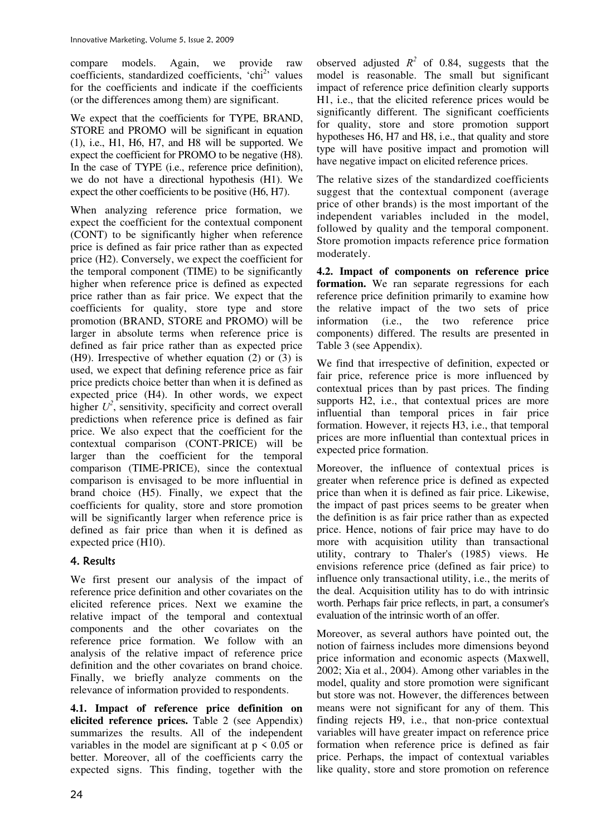compare models. Again, we provide raw coefficients, standardized coefficients, 'chi<sup>2</sup>' values for the coefficients and indicate if the coefficients (or the differences among them) are significant.

We expect that the coefficients for TYPE, BRAND, STORE and PROMO will be significant in equation (1), i.e., H1, H6, H7, and H8 will be supported. We expect the coefficient for PROMO to be negative (H8). In the case of TYPE (i.e., reference price definition), we do not have a directional hypothesis (H1). We expect the other coefficients to be positive (H6, H7).

When analyzing reference price formation, we expect the coefficient for the contextual component (CONT) to be significantly higher when reference price is defined as fair price rather than as expected price (H2). Conversely, we expect the coefficient for the temporal component (TIME) to be significantly higher when reference price is defined as expected price rather than as fair price. We expect that the coefficients for quality, store type and store promotion (BRAND, STORE and PROMO) will be larger in absolute terms when reference price is defined as fair price rather than as expected price (H9). Irrespective of whether equation (2) or (3) is used, we expect that defining reference price as fair price predicts choice better than when it is defined as expected price (H4). In other words, we expect higher  $U^2$ , sensitivity, specificity and correct overall predictions when reference price is defined as fair price. We also expect that the coefficient for the contextual comparison (CONT-PRICE) will be larger than the coefficient for the temporal comparison (TIME-PRICE), since the contextual comparison is envisaged to be more influential in brand choice (H5). Finally, we expect that the coefficients for quality, store and store promotion will be significantly larger when reference price is defined as fair price than when it is defined as expected price (H10).

# 4. Results

We first present our analysis of the impact of reference price definition and other covariates on the elicited reference prices. Next we examine the relative impact of the temporal and contextual components and the other covariates on the reference price formation. We follow with an analysis of the relative impact of reference price definition and the other covariates on brand choice. Finally, we briefly analyze comments on the relevance of information provided to respondents.

**4.1. Impact of reference price definition on elicited reference prices.** Table 2 (see Appendix) summarizes the results. All of the independent variables in the model are significant at  $p \le 0.05$  or better. Moreover, all of the coefficients carry the expected signs. This finding, together with the

observed adjusted  $R^2$  of 0.84, suggests that the model is reasonable. The small but significant impact of reference price definition clearly supports H1, i.e., that the elicited reference prices would be significantly different. The significant coefficients for quality, store and store promotion support hypotheses H6, H7 and H8, i.e., that quality and store type will have positive impact and promotion will have negative impact on elicited reference prices.

The relative sizes of the standardized coefficients suggest that the contextual component (average price of other brands) is the most important of the independent variables included in the model, followed by quality and the temporal component. Store promotion impacts reference price formation moderately.

**4.2. Impact of components on reference price formation.** We ran separate regressions for each reference price definition primarily to examine how the relative impact of the two sets of price information (i.e., the two reference price components) differed. The results are presented in Table 3 (see Appendix).

We find that irrespective of definition, expected or fair price, reference price is more influenced by contextual prices than by past prices. The finding supports H2, i.e., that contextual prices are more influential than temporal prices in fair price formation. However, it rejects H3, i.e., that temporal prices are more influential than contextual prices in expected price formation.

Moreover, the influence of contextual prices is greater when reference price is defined as expected price than when it is defined as fair price. Likewise, the impact of past prices seems to be greater when the definition is as fair price rather than as expected price. Hence, notions of fair price may have to do more with acquisition utility than transactional utility, contrary to Thaler's (1985) views. He envisions reference price (defined as fair price) to influence only transactional utility, i.e., the merits of the deal. Acquisition utility has to do with intrinsic worth. Perhaps fair price reflects, in part, a consumer's evaluation of the intrinsic worth of an offer.

Moreover, as several authors have pointed out, the notion of fairness includes more dimensions beyond price information and economic aspects (Maxwell, 2002; Xia et al., 2004). Among other variables in the model, quality and store promotion were significant but store was not. However, the differences between means were not significant for any of them. This finding rejects H9, i.e., that non-price contextual variables will have greater impact on reference price formation when reference price is defined as fair price. Perhaps, the impact of contextual variables like quality, store and store promotion on reference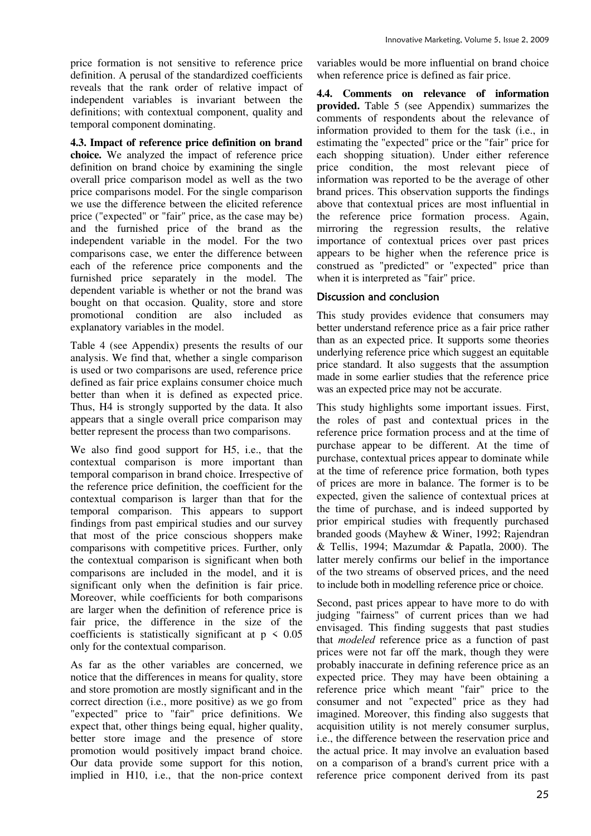price formation is not sensitive to reference price definition. A perusal of the standardized coefficients reveals that the rank order of relative impact of independent variables is invariant between the definitions; with contextual component, quality and temporal component dominating.

**4.3. Impact of reference price definition on brand choice.** We analyzed the impact of reference price definition on brand choice by examining the single overall price comparison model as well as the two price comparisons model. For the single comparison we use the difference between the elicited reference price ("expected" or "fair" price, as the case may be) and the furnished price of the brand as the independent variable in the model. For the two comparisons case, we enter the difference between each of the reference price components and the furnished price separately in the model. The dependent variable is whether or not the brand was bought on that occasion. Quality, store and store promotional condition are also included as explanatory variables in the model.

Table 4 (see Appendix) presents the results of our analysis. We find that, whether a single comparison is used or two comparisons are used, reference price defined as fair price explains consumer choice much better than when it is defined as expected price. Thus, H4 is strongly supported by the data. It also appears that a single overall price comparison may better represent the process than two comparisons.

We also find good support for H5, i.e., that the contextual comparison is more important than temporal comparison in brand choice. Irrespective of the reference price definition, the coefficient for the contextual comparison is larger than that for the temporal comparison. This appears to support findings from past empirical studies and our survey that most of the price conscious shoppers make comparisons with competitive prices. Further, only the contextual comparison is significant when both comparisons are included in the model, and it is significant only when the definition is fair price. Moreover, while coefficients for both comparisons are larger when the definition of reference price is fair price, the difference in the size of the coefficients is statistically significant at  $p \leq 0.05$ only for the contextual comparison.

As far as the other variables are concerned, we notice that the differences in means for quality, store and store promotion are mostly significant and in the correct direction (i.e., more positive) as we go from "expected" price to "fair" price definitions. We expect that, other things being equal, higher quality, better store image and the presence of store promotion would positively impact brand choice. Our data provide some support for this notion, implied in H10, i.e., that the non-price context

variables would be more influential on brand choice when reference price is defined as fair price.

**4.4. Comments on relevance of information provided.** Table 5 (see Appendix) summarizes the comments of respondents about the relevance of information provided to them for the task (i.e., in estimating the "expected" price or the "fair" price for each shopping situation). Under either reference price condition, the most relevant piece of information was reported to be the average of other brand prices. This observation supports the findings above that contextual prices are most influential in the reference price formation process. Again, mirroring the regression results, the relative importance of contextual prices over past prices appears to be higher when the reference price is construed as "predicted" or "expected" price than when it is interpreted as "fair" price.

## Discussion and conclusion

This study provides evidence that consumers may better understand reference price as a fair price rather than as an expected price. It supports some theories underlying reference price which suggest an equitable price standard. It also suggests that the assumption made in some earlier studies that the reference price was an expected price may not be accurate.

This study highlights some important issues. First, the roles of past and contextual prices in the reference price formation process and at the time of purchase appear to be different. At the time of purchase, contextual prices appear to dominate while at the time of reference price formation, both types of prices are more in balance. The former is to be expected, given the salience of contextual prices at the time of purchase, and is indeed supported by prior empirical studies with frequently purchased branded goods (Mayhew & Winer, 1992; Rajendran & Tellis, 1994; Mazumdar & Papatla, 2000). The latter merely confirms our belief in the importance of the two streams of observed prices, and the need to include both in modelling reference price or choice.

Second, past prices appear to have more to do with judging "fairness" of current prices than we had envisaged. This finding suggests that past studies that *modeled* reference price as a function of past prices were not far off the mark, though they were probably inaccurate in defining reference price as an expected price. They may have been obtaining a reference price which meant "fair" price to the consumer and not "expected" price as they had imagined. Moreover, this finding also suggests that acquisition utility is not merely consumer surplus, i.e., the difference between the reservation price and the actual price. It may involve an evaluation based on a comparison of a brand's current price with a reference price component derived from its past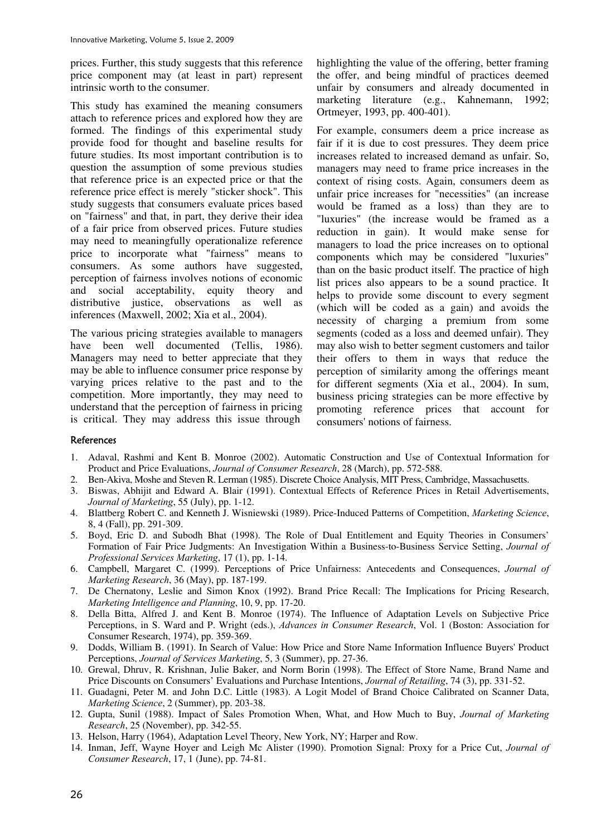prices. Further, this study suggests that this reference price component may (at least in part) represent intrinsic worth to the consumer.

This study has examined the meaning consumers attach to reference prices and explored how they are formed. The findings of this experimental study provide food for thought and baseline results for future studies. Its most important contribution is to question the assumption of some previous studies that reference price is an expected price or that the reference price effect is merely "sticker shock". This study suggests that consumers evaluate prices based on "fairness" and that, in part, they derive their idea of a fair price from observed prices. Future studies may need to meaningfully operationalize reference price to incorporate what "fairness" means to consumers. As some authors have suggested, perception of fairness involves notions of economic and social acceptability, equity theory and distributive justice, observations as well as inferences (Maxwell, 2002; Xia et al., 2004).

The various pricing strategies available to managers have been well documented (Tellis, 1986). Managers may need to better appreciate that they may be able to influence consumer price response by varying prices relative to the past and to the competition. More importantly, they may need to understand that the perception of fairness in pricing is critical. They may address this issue through

highlighting the value of the offering, better framing the offer, and being mindful of practices deemed unfair by consumers and already documented in marketing literature (e.g., Kahnemann, 1992; Ortmeyer, 1993, pp. 400-401).

For example, consumers deem a price increase as fair if it is due to cost pressures. They deem price increases related to increased demand as unfair. So, managers may need to frame price increases in the context of rising costs. Again, consumers deem as unfair price increases for "necessities" (an increase would be framed as a loss) than they are to "luxuries" (the increase would be framed as a reduction in gain). It would make sense for managers to load the price increases on to optional components which may be considered "luxuries" than on the basic product itself. The practice of high list prices also appears to be a sound practice. It helps to provide some discount to every segment (which will be coded as a gain) and avoids the necessity of charging a premium from some segments (coded as a loss and deemed unfair). They may also wish to better segment customers and tailor their offers to them in ways that reduce the perception of similarity among the offerings meant for different segments (Xia et al., 2004). In sum, business pricing strategies can be more effective by promoting reference prices that account for consumers' notions of fairness.

#### **References**

- 1. Adaval, Rashmi and Kent B. Monroe (2002). Automatic Construction and Use of Contextual Information for Product and Price Evaluations, *Journal of Consumer Research*, 28 (March), pp. 572-588.
- 2. Ben-Akiva, Moshe and Steven R. Lerman (1985). Discrete Choice Analysis, MIT Press, Cambridge, Massachusetts.
- 3. Biswas, Abhijit and Edward A. Blair (1991). Contextual Effects of Reference Prices in Retail Advertisements, *Journal of Marketing*, 55 (July), pp. 1-12.
- 4. Blattberg Robert C. and Kenneth J. Wisniewski (1989). Price-Induced Patterns of Competition, *Marketing Science*, 8, 4 (Fall), pp. 291-309.
- 5. Boyd, Eric D. and Subodh Bhat (1998). The Role of Dual Entitlement and Equity Theories in Consumers' Formation of Fair Price Judgments: An Investigation Within a Business-to-Business Service Setting, *Journal of Professional Services Marketing*, 17 (1), pp. 1-14.
- 6. Campbell, Margaret C. (1999). Perceptions of Price Unfairness: Antecedents and Consequences, *Journal of Marketing Research*, 36 (May), pp. 187-199.
- 7. De Chernatony, Leslie and Simon Knox (1992). Brand Price Recall: The Implications for Pricing Research, *Marketing Intelligence and Planning*, 10, 9, pp. 17-20.
- 8. Della Bitta, Alfred J. and Kent B. Monroe (1974). The Influence of Adaptation Levels on Subjective Price Perceptions, in S. Ward and P. Wright (eds.), *Advances in Consumer Research*, Vol. 1 (Boston: Association for Consumer Research, 1974), pp. 359-369.
- 9. Dodds, William B. (1991). In Search of Value: How Price and Store Name Information Influence Buyers' Product Perceptions, *Journal of Services Marketing*, 5, 3 (Summer), pp. 27-36.
- 10. Grewal, Dhruv, R. Krishnan, Julie Baker, and Norm Borin (1998). The Effect of Store Name, Brand Name and Price Discounts on Consumers' Evaluations and Purchase Intentions, *Journal of Retailing*, 74 (3), pp. 331-52.
- 11. Guadagni, Peter M. and John D.C. Little (1983). A Logit Model of Brand Choice Calibrated on Scanner Data, *Marketing Science*, 2 (Summer), pp. 203-38.
- 12. Gupta, Sunil (1988). Impact of Sales Promotion When, What, and How Much to Buy, *Journal of Marketing Research*, 25 (November), pp. 342-55.
- 13. Helson, Harry (1964), Adaptation Level Theory, New York, NY; Harper and Row.
- 14. Inman, Jeff, Wayne Hoyer and Leigh Mc Alister (1990). Promotion Signal: Proxy for a Price Cut, *Journal of Consumer Research*, 17, 1 (June), pp. 74-81.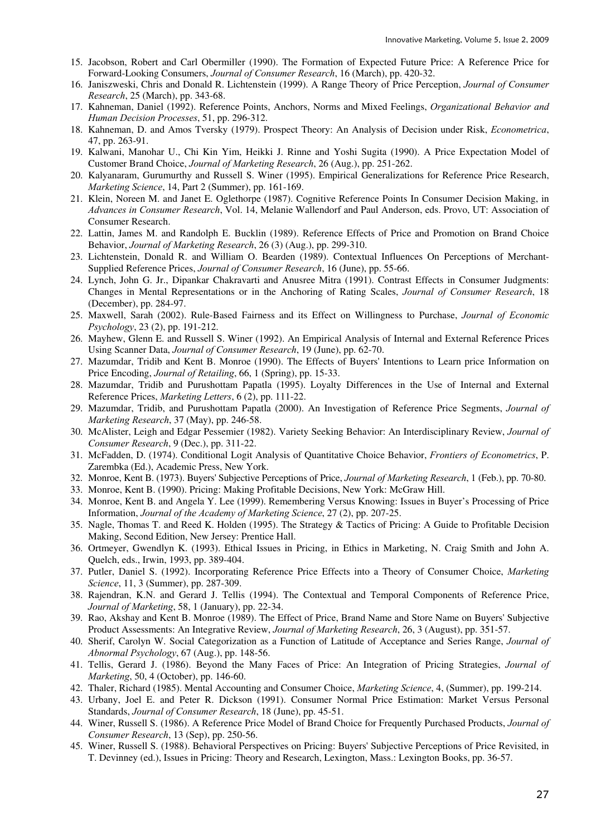- 15. Jacobson, Robert and Carl Obermiller (1990). The Formation of Expected Future Price: A Reference Price for Forward-Looking Consumers, *Journal of Consumer Research*, 16 (March), pp. 420-32.
- 16. Janiszweski, Chris and Donald R. Lichtenstein (1999). A Range Theory of Price Perception, *Journal of Consumer Research*, 25 (March), pp. 343-68.
- 17. Kahneman, Daniel (1992). Reference Points, Anchors, Norms and Mixed Feelings, *Organizational Behavior and Human Decision Processes*, 51, pp. 296-312.
- 18. Kahneman, D. and Amos Tversky (1979). Prospect Theory: An Analysis of Decision under Risk, *Econometrica*, 47, pp. 263-91.
- 19. Kalwani, Manohar U., Chi Kin Yim, Heikki J. Rinne and Yoshi Sugita (1990). A Price Expectation Model of Customer Brand Choice, *Journal of Marketing Research*, 26 (Aug.), pp. 251-262.
- 20. Kalyanaram, Gurumurthy and Russell S. Winer (1995). Empirical Generalizations for Reference Price Research, *Marketing Science*, 14, Part 2 (Summer), pp. 161-169.
- 21. Klein, Noreen M. and Janet E. Oglethorpe (1987). Cognitive Reference Points In Consumer Decision Making, in *Advances in Consumer Research*, Vol. 14, Melanie Wallendorf and Paul Anderson, eds. Provo, UT: Association of Consumer Research.
- 22. Lattin, James M. and Randolph E. Bucklin (1989). Reference Effects of Price and Promotion on Brand Choice Behavior, *Journal of Marketing Research*, 26 (3) (Aug.), pp. 299-310.
- 23. Lichtenstein, Donald R. and William O. Bearden (1989). Contextual Influences On Perceptions of Merchant-Supplied Reference Prices, *Journal of Consumer Research*, 16 (June), pp. 55-66.
- 24. Lynch, John G. Jr., Dipankar Chakravarti and Anusree Mitra (1991). Contrast Effects in Consumer Judgments: Changes in Mental Representations or in the Anchoring of Rating Scales, *Journal of Consumer Research*, 18 (December), pp. 284-97.
- 25. Maxwell, Sarah (2002). Rule-Based Fairness and its Effect on Willingness to Purchase, *Journal of Economic Psychology*, 23 (2), pp. 191-212.
- 26. Mayhew, Glenn E. and Russell S. Winer (1992). An Empirical Analysis of Internal and External Reference Prices Using Scanner Data, *Journal of Consumer Research*, 19 (June), pp. 62-70.
- 27. Mazumdar, Tridib and Kent B. Monroe (1990). The Effects of Buyers' Intentions to Learn price Information on Price Encoding, *Journal of Retailing*, 66, 1 (Spring), pp. 15-33.
- 28. Mazumdar, Tridib and Purushottam Papatla (1995). Loyalty Differences in the Use of Internal and External Reference Prices, *Marketing Letters*, 6 (2), pp. 111-22.
- 29. Mazumdar, Tridib, and Purushottam Papatla (2000). An Investigation of Reference Price Segments, *Journal of Marketing Research*, 37 (May), pp. 246-58.
- 30. McAlister, Leigh and Edgar Pessemier (1982). Variety Seeking Behavior: An Interdisciplinary Review, *Journal of Consumer Research*, 9 (Dec.), pp. 311-22.
- 31. McFadden, D. (1974). Conditional Logit Analysis of Quantitative Choice Behavior, *Frontiers of Econometrics*, P. Zarembka (Ed.), Academic Press, New York.
- 32. Monroe, Kent B. (1973). Buyers' Subjective Perceptions of Price, *Journal of Marketing Research*, 1 (Feb.), pp. 70-80.
- 33. Monroe, Kent B. (1990). Pricing: Making Profitable Decisions, New York: McGraw Hill.
- 34. Monroe, Kent B. and Angela Y. Lee (1999). Remembering Versus Knowing: Issues in Buyer's Processing of Price Information, *Journal of the Academy of Marketing Science*, 27 (2), pp. 207-25.
- 35. Nagle, Thomas T. and Reed K. Holden (1995). The Strategy & Tactics of Pricing: A Guide to Profitable Decision Making, Second Edition, New Jersey: Prentice Hall.
- 36. Ortmeyer, Gwendlyn K. (1993). Ethical Issues in Pricing, in Ethics in Marketing, N. Craig Smith and John A. Quelch, eds., Irwin, 1993, pp. 389-404.
- 37. Putler, Daniel S. (1992). Incorporating Reference Price Effects into a Theory of Consumer Choice, *Marketing Science*, 11, 3 (Summer), pp. 287-309.
- 38. Rajendran, K.N. and Gerard J. Tellis (1994). The Contextual and Temporal Components of Reference Price, *Journal of Marketing*, 58, 1 (January), pp. 22-34.
- 39. Rao, Akshay and Kent B. Monroe (1989). The Effect of Price, Brand Name and Store Name on Buyers' Subjective Product Assessments: An Integrative Review, *Journal of Marketing Research*, 26, 3 (August), pp. 351-57.
- 40. Sherif, Carolyn W. Social Categorization as a Function of Latitude of Acceptance and Series Range, *Journal of Abnormal Psychology*, 67 (Aug.), pp. 148-56.
- 41. Tellis, Gerard J. (1986). Beyond the Many Faces of Price: An Integration of Pricing Strategies, *Journal of Marketing*, 50, 4 (October), pp. 146-60.
- 42. Thaler, Richard (1985). Mental Accounting and Consumer Choice, *Marketing Science*, 4, (Summer), pp. 199-214.
- 43. Urbany, Joel E. and Peter R. Dickson (1991). Consumer Normal Price Estimation: Market Versus Personal Standards, *Journal of Consumer Research*, 18 (June), pp. 45-51.
- 44. Winer, Russell S. (1986). A Reference Price Model of Brand Choice for Frequently Purchased Products, *Journal of Consumer Research*, 13 (Sep), pp. 250-56.
- 45. Winer, Russell S. (1988). Behavioral Perspectives on Pricing: Buyers' Subjective Perceptions of Price Revisited, in T. Devinney (ed.), Issues in Pricing: Theory and Research, Lexington, Mass.: Lexington Books, pp. 36-57.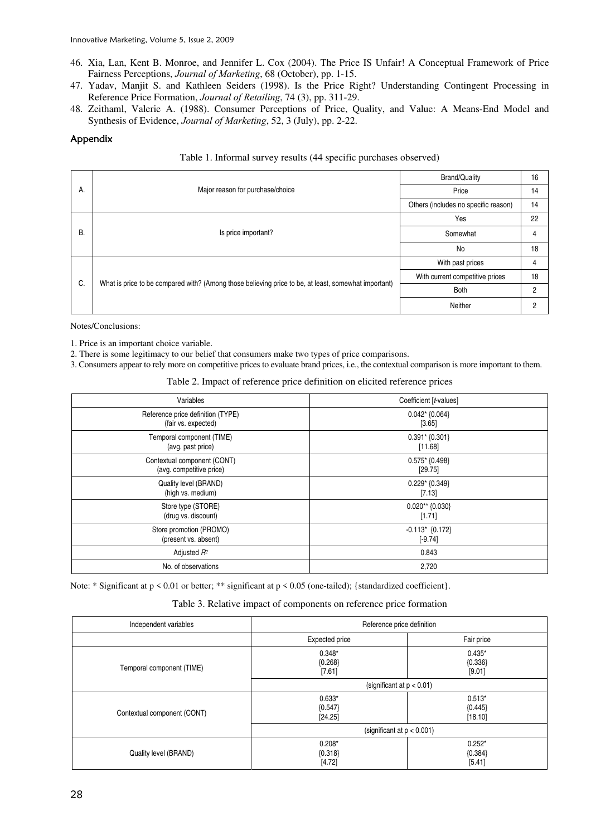- 46. Xia, Lan, Kent B. Monroe, and Jennifer L. Cox (2004). The Price IS Unfair! A Conceptual Framework of Price Fairness Perceptions, *Journal of Marketing*, 68 (October), pp. 1-15.
- 47. Yadav, Manjit S. and Kathleen Seiders (1998). Is the Price Right? Understanding Contingent Processing in Reference Price Formation, *Journal of Retailing*, 74 (3), pp. 311-29.
- 48. Zeithaml, Valerie A. (1988). Consumer Perceptions of Price, Quality, and Value: A Means-End Model and Synthesis of Evidence, *Journal of Marketing*, 52, 3 (July), pp. 2-22.

#### Appendix

| Table 1. Informal survey results (44 specific purchases observed) |  |  |
|-------------------------------------------------------------------|--|--|
|                                                                   |  |  |

|    |                                                                                                      | <b>Brand/Quality</b>                 | 16 |
|----|------------------------------------------------------------------------------------------------------|--------------------------------------|----|
| А. | Major reason for purchase/choice                                                                     | Price                                | 14 |
|    |                                                                                                      | Others (includes no specific reason) | 14 |
|    |                                                                                                      | Yes                                  | 22 |
| В. | Is price important?                                                                                  | Somewhat                             |    |
|    |                                                                                                      | No                                   | 18 |
|    |                                                                                                      | With past prices                     | 4  |
| C. | What is price to be compared with? (Among those believing price to be, at least, somewhat important) | With current competitive prices      | 18 |
|    |                                                                                                      | <b>Both</b>                          | 2  |
|    |                                                                                                      | Neither                              | 2  |

Notes/Conclusions:

1. Price is an important choice variable.

2. There is some legitimacy to our belief that consumers make two types of price comparisons.

3. Consumers appear to rely more on competitive prices to evaluate brand prices, i.e., the contextual comparison is more important to them.

Table 2. Impact of reference price definition on elicited reference prices

| Variables                         | Coefficient [t-values] |
|-----------------------------------|------------------------|
| Reference price definition (TYPE) | $0.042$ $\{0.064\}$    |
| (fair vs. expected)               | [3.65]                 |
| Temporal component (TIME)         | $0.391*$ {0.301}       |
| (avg. past price)                 | [11.68]                |
| Contextual component (CONT)       | $0.575*$ {0.498}       |
| (avg. competitive price)          | [29.75]                |
| Quality level (BRAND)             | $0.229*$ {0.349}       |
| (high vs. medium)                 | [7.13]                 |
| Store type (STORE)                | $0.020**$ {0.030}      |
| (drug vs. discount)               | [1.71]                 |
| Store promotion (PROMO)           | $-0.113$ {0.172}       |
| (present vs. absent)              | $[-9.74]$              |
| Adjusted R <sup>2</sup>           | 0.843                  |
| No. of observations               | 2,720                  |

Note: \* Significant at p < 0.01 or better; \*\* significant at p < 0.05 (one-tailed); {standardized coefficient}.

| Table 3. Relative impact of components on reference price formation |  |  |  |
|---------------------------------------------------------------------|--|--|--|
|---------------------------------------------------------------------|--|--|--|

| Independent variables       | Reference price definition       |                                  |  |  |
|-----------------------------|----------------------------------|----------------------------------|--|--|
|                             | Expected price                   | Fair price                       |  |  |
| Temporal component (TIME)   | $0.348*$<br>${0.268}$<br>[7.61]  | $0.435*$<br>${0.336}$<br>[9.01]  |  |  |
|                             | (significant at $p < 0.01$ )     |                                  |  |  |
| Contextual component (CONT) | $0.633*$<br>${0.547}$<br>[24.25] | $0.513*$<br>${0.445}$<br>[18.10] |  |  |
|                             | (significant at $p < 0.001$ )    |                                  |  |  |
| Quality level (BRAND)       | $0.208*$<br>${0.318}$<br>[4.72]  | $0.252*$<br>${0.384}$<br>[5.41]  |  |  |